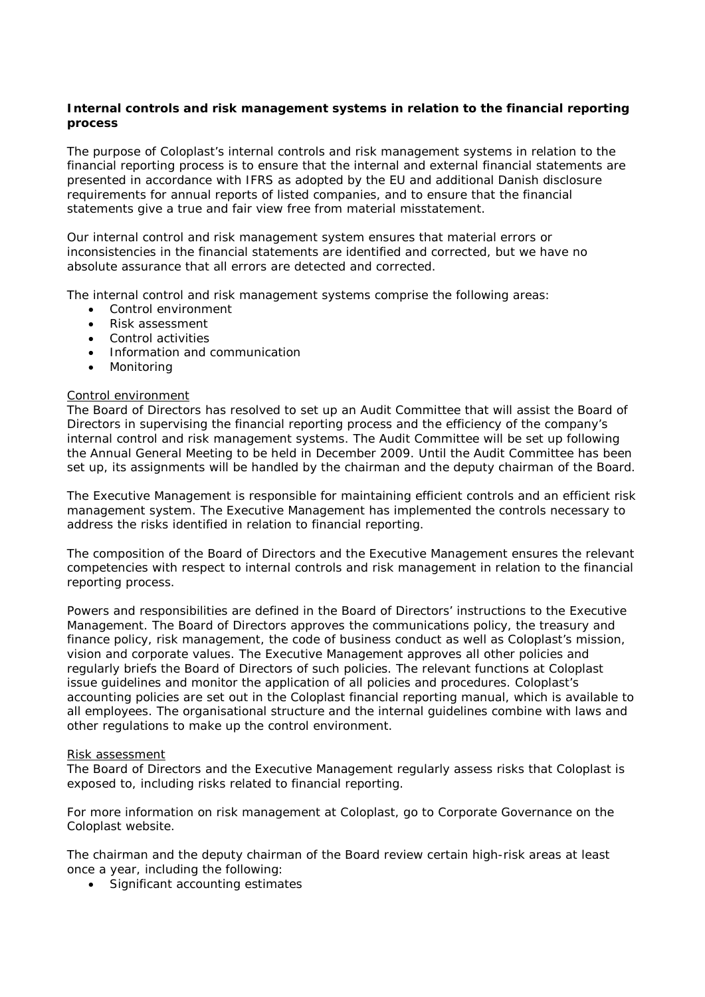# **Internal controls and risk management systems in relation to the financial reporting process**

The purpose of Coloplast's internal controls and risk management systems in relation to the financial reporting process is to ensure that the internal and external financial statements are presented in accordance with IFRS as adopted by the EU and additional Danish disclosure requirements for annual reports of listed companies, and to ensure that the financial statements give a true and fair view free from material misstatement.

Our internal control and risk management system ensures that material errors or inconsistencies in the financial statements are identified and corrected, but we have no absolute assurance that all errors are detected and corrected.

The internal control and risk management systems comprise the following areas:

- Control environment
- Risk assessment
- Control activities
- Information and communication
- Monitoring

## Control environment

The Board of Directors has resolved to set up an Audit Committee that will assist the Board of Directors in supervising the financial reporting process and the efficiency of the company's internal control and risk management systems. The Audit Committee will be set up following the Annual General Meeting to be held in December 2009. Until the Audit Committee has been set up, its assignments will be handled by the chairman and the deputy chairman of the Board.

The Executive Management is responsible for maintaining efficient controls and an efficient risk management system. The Executive Management has implemented the controls necessary to address the risks identified in relation to financial reporting.

The composition of the Board of Directors and the Executive Management ensures the relevant competencies with respect to internal controls and risk management in relation to the financial reporting process.

Powers and responsibilities are defined in the Board of Directors' instructions to the Executive Management. The Board of Directors approves the communications policy, the treasury and finance policy, risk management, the code of business conduct as well as Coloplast's mission, vision and corporate values. The Executive Management approves all other policies and regularly briefs the Board of Directors of such policies. The relevant functions at Coloplast issue guidelines and monitor the application of all policies and procedures. Coloplast's accounting policies are set out in the Coloplast financial reporting manual, which is available to all employees. The organisational structure and the internal guidelines combine with laws and other regulations to make up the control environment.

#### Risk assessment

The Board of Directors and the Executive Management regularly assess risks that Coloplast is exposed to, including risks related to financial reporting.

For more information on risk management at Coloplast, go to Corporate Governance on the Coloplast website.

The chairman and the deputy chairman of the Board review certain high-risk areas at least once a year, including the following:

• Significant accounting estimates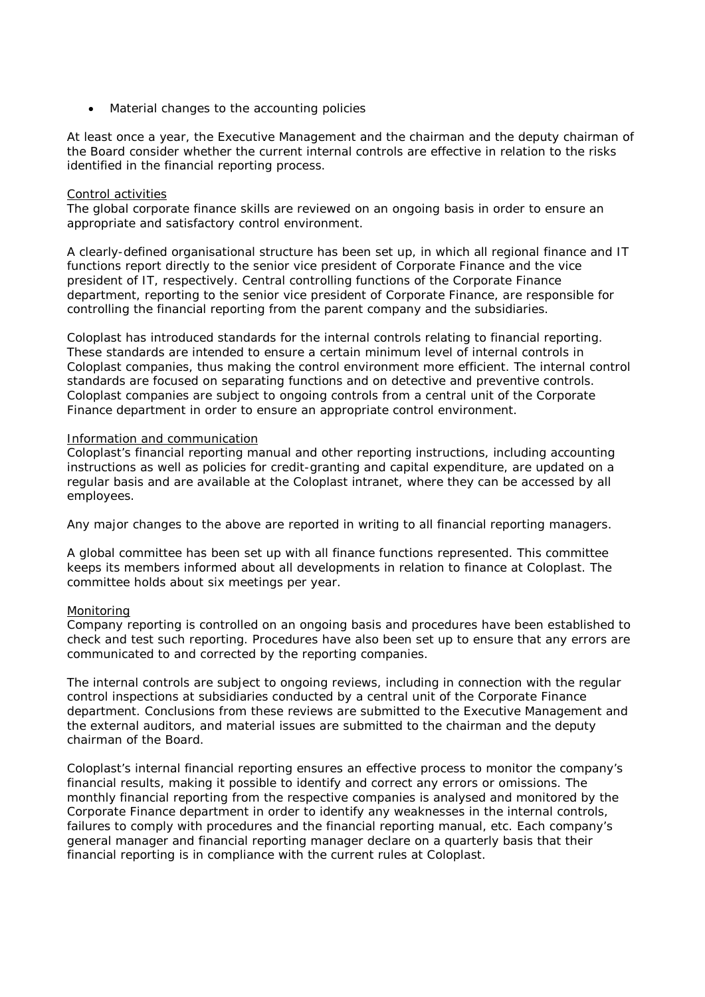• Material changes to the accounting policies

At least once a year, the Executive Management and the chairman and the deputy chairman of the Board consider whether the current internal controls are effective in relation to the risks identified in the financial reporting process.

## Control activities

The global corporate finance skills are reviewed on an ongoing basis in order to ensure an appropriate and satisfactory control environment.

A clearly-defined organisational structure has been set up, in which all regional finance and IT functions report directly to the senior vice president of Corporate Finance and the vice president of IT, respectively. Central controlling functions of the Corporate Finance department, reporting to the senior vice president of Corporate Finance, are responsible for controlling the financial reporting from the parent company and the subsidiaries.

Coloplast has introduced standards for the internal controls relating to financial reporting. These standards are intended to ensure a certain minimum level of internal controls in Coloplast companies, thus making the control environment more efficient. The internal control standards are focused on separating functions and on detective and preventive controls. Coloplast companies are subject to ongoing controls from a central unit of the Corporate Finance department in order to ensure an appropriate control environment.

## Information and communication

Coloplast's financial reporting manual and other reporting instructions, including accounting instructions as well as policies for credit-granting and capital expenditure, are updated on a regular basis and are available at the Coloplast intranet, where they can be accessed by all employees.

Any major changes to the above are reported in writing to all financial reporting managers.

A global committee has been set up with all finance functions represented. This committee keeps its members informed about all developments in relation to finance at Coloplast. The committee holds about six meetings per year.

#### Monitoring

Company reporting is controlled on an ongoing basis and procedures have been established to check and test such reporting. Procedures have also been set up to ensure that any errors are communicated to and corrected by the reporting companies.

The internal controls are subject to ongoing reviews, including in connection with the regular control inspections at subsidiaries conducted by a central unit of the Corporate Finance department. Conclusions from these reviews are submitted to the Executive Management and the external auditors, and material issues are submitted to the chairman and the deputy chairman of the Board.

Coloplast's internal financial reporting ensures an effective process to monitor the company's financial results, making it possible to identify and correct any errors or omissions. The monthly financial reporting from the respective companies is analysed and monitored by the Corporate Finance department in order to identify any weaknesses in the internal controls, failures to comply with procedures and the financial reporting manual, etc. Each company's general manager and financial reporting manager declare on a quarterly basis that their financial reporting is in compliance with the current rules at Coloplast.